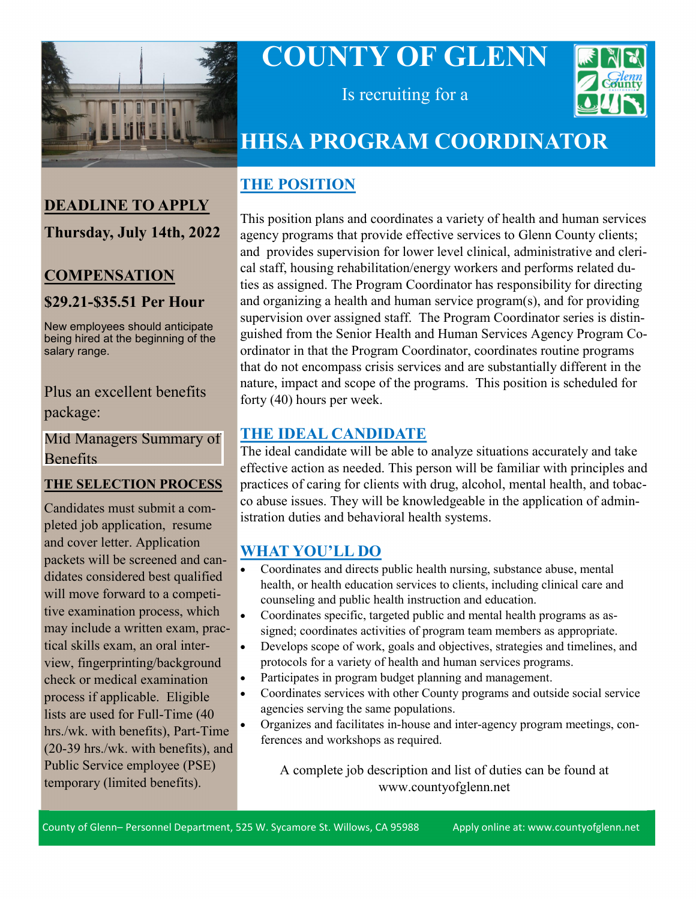

**DEADLINE TO APPLY**

**Thursday, July 14th, 2022**

**COMPENSATION**

**\$29.21-\$35.51 Per Hour**

# **COUNTY OF GLENN**



Is recruiting for a

## **HHSA PROGRAM COORDINATOR**

## **THE POSITION**

This position plans and coordinates a variety of health and human services agency programs that provide effective services to Glenn County clients; and provides supervision for lower level clinical, administrative and clerical staff, housing rehabilitation/energy workers and performs related duties as assigned. The Program Coordinator has responsibility for directing and organizing a health and human service program(s), and for providing supervision over assigned staff. The Program Coordinator series is distinguished from the Senior Health and Human Services Agency Program Coordinator in that the Program Coordinator, coordinates routine programs that do not encompass crisis services and are substantially different in the nature, impact and scope of the programs. This position is scheduled for forty (40) hours per week.

#### **THE IDEAL CANDIDATE**

The ideal candidate will be able to analyze situations accurately and take effective action as needed. This person will be familiar with principles and practices of caring for clients with drug, alcohol, mental health, and tobacco abuse issues. They will be knowledgeable in the application of administration duties and behavioral health systems.

### **WHAT YOU'LL DO**

- Coordinates and directs public health nursing, substance abuse, mental health, or health education services to clients, including clinical care and counseling and public health instruction and education.
- Coordinates specific, targeted public and mental health programs as assigned; coordinates activities of program team members as appropriate.
- Develops scope of work, goals and objectives, strategies and timelines, and protocols for a variety of health and human services programs.
- Participates in program budget planning and management.
- Coordinates services with other County programs and outside social service agencies serving the same populations.
- Organizes and facilitates in-house and inter-agency program meetings, conferences and workshops as required.

A complete job description and list of duties can be found at www.countyofglenn.net

#### New employees should anticipate being hired at the beginning of the salary range.

## Plus an excellent benefits package:

[Mid Managers Summary of](https://www.countyofglenn.net/sites/default/files/Personnel/MOU/GCPERL%2017-GCMMA%20Sum%20of%20Benefits%2020110701_0.pdf)  Benefits

### **THE SELECTION PROCESS**

Candidates must submit a completed job application, resume and cover letter. Application packets will be screened and candidates considered best qualified will move forward to a competitive examination process, which may include a written exam, practical skills exam, an oral interview, fingerprinting/background check or medical examination process if applicable. Eligible lists are used for Full-Time (40 hrs./wk. with benefits), Part-Time (20-39 hrs./wk. with benefits), and Public Service employee (PSE) temporary (limited benefits).